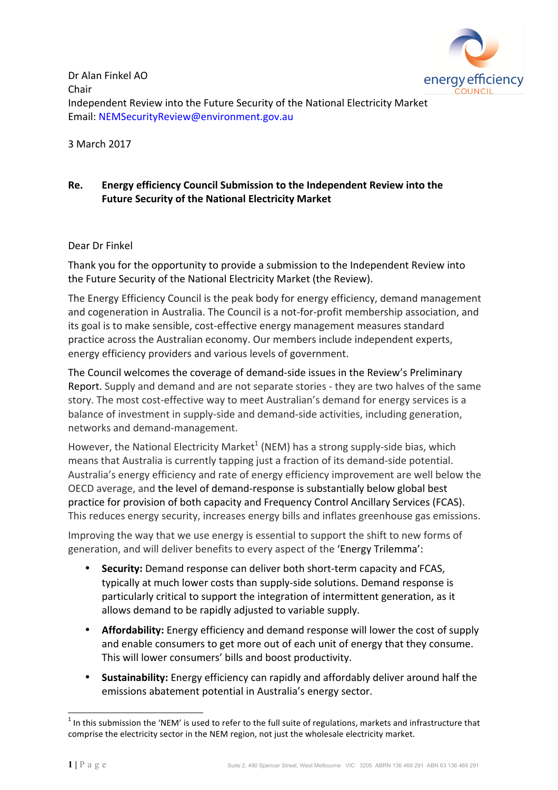

Dr Alan Finkel AO Chair Independent Review into the Future Security of the National Electricity Market Email: NEMSecurityReview@environment.gov.au

3 March 2017 

### Re. Energy efficiency Council Submission to the Independent Review into the **Future Security of the National Electricity Market**

### Dear Dr Finkel

Thank you for the opportunity to provide a submission to the Independent Review into the Future Security of the National Electricity Market (the Review).

The Energy Efficiency Council is the peak body for energy efficiency, demand management and cogeneration in Australia. The Council is a not-for-profit membership association, and its goal is to make sensible, cost-effective energy management measures standard practice across the Australian economy. Our members include independent experts, energy efficiency providers and various levels of government.

The Council welcomes the coverage of demand-side issues in the Review's Preliminary Report. Supply and demand and are not separate stories - they are two halves of the same story. The most cost-effective way to meet Australian's demand for energy services is a balance of investment in supply-side and demand-side activities, including generation, networks and demand-management.

However, the National Electricity Market<sup>1</sup> (NEM) has a strong supply-side bias, which means that Australia is currently tapping just a fraction of its demand-side potential. Australia's energy efficiency and rate of energy efficiency improvement are well below the OECD average, and the level of demand-response is substantially below global best practice for provision of both capacity and Frequency Control Ancillary Services (FCAS). This reduces energy security, increases energy bills and inflates greenhouse gas emissions.

Improving the way that we use energy is essential to support the shift to new forms of generation, and will deliver benefits to every aspect of the 'Energy Trilemma':

- Security: Demand response can deliver both short-term capacity and FCAS, typically at much lower costs than supply-side solutions. Demand response is particularly critical to support the integration of intermittent generation, as it allows demand to be rapidly adjusted to variable supply.
- Affordability: Energy efficiency and demand response will lower the cost of supply and enable consumers to get more out of each unit of energy that they consume. This will lower consumers' bills and boost productivity.
- **Sustainability:** Energy efficiency can rapidly and affordably deliver around half the emissions abatement potential in Australia's energy sector.

 $1$  In this submission the 'NEM' is used to refer to the full suite of regulations, markets and infrastructure that comprise the electricity sector in the NEM region, not just the wholesale electricity market.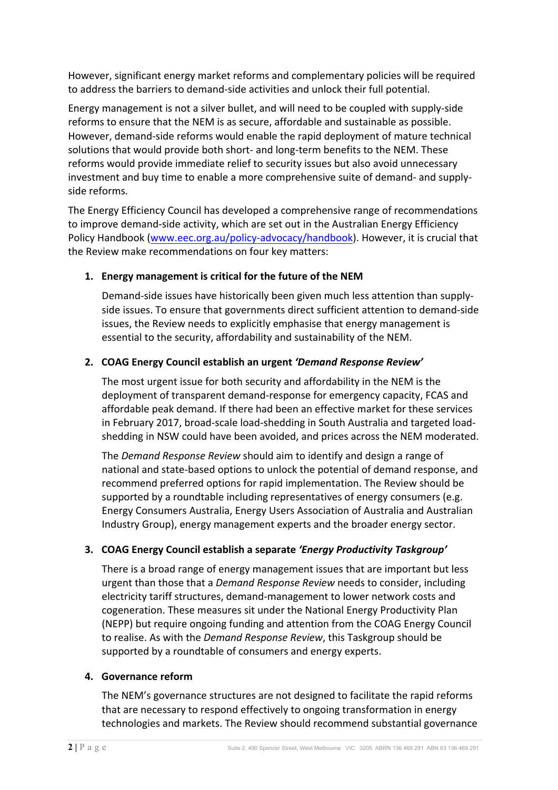However, significant energy market reforms and complementary policies will be required to address the barriers to demand-side activities and unlock their full potential.

Energy management is not a silver bullet, and will need to be coupled with supply-side reforms to ensure that the NEM is as secure, affordable and sustainable as possible. However, demand-side reforms would enable the rapid deployment of mature technical solutions that would provide both short- and long-term benefits to the NEM. These reforms would provide immediate relief to security issues but also avoid unnecessary investment and buy time to enable a more comprehensive suite of demand- and supplyside reforms.

The Energy Efficiency Council has developed a comprehensive range of recommendations to improve demand-side activity, which are set out in the Australian Energy Efficiency Policy Handbook (www.eec.org.au/policy-advocacy/handbook). However, it is crucial that the Review make recommendations on four key matters:

### **1.** Energy management is critical for the future of the NEM

Demand-side issues have historically been given much less attention than supplyside issues. To ensure that governments direct sufficient attention to demand-side issues, the Review needs to explicitly emphasise that energy management is essential to the security, affordability and sustainability of the NEM.

#### **2. COAG Energy Council establish an urgent** *'Demand Response Review'*

The most urgent issue for both security and affordability in the NEM is the deployment of transparent demand-response for emergency capacity, FCAS and affordable peak demand. If there had been an effective market for these services in February 2017, broad-scale load-shedding in South Australia and targeted loadshedding in NSW could have been avoided, and prices across the NEM moderated.

The *Demand Response Review* should aim to identify and design a range of national and state-based options to unlock the potential of demand response, and recommend preferred options for rapid implementation. The Review should be supported by a roundtable including representatives of energy consumers (e.g. Energy Consumers Australia, Energy Users Association of Australia and Australian Industry Group), energy management experts and the broader energy sector.

### **3. COAG Energy Council establish a separate 'Energy Productivity Taskgroup'**

There is a broad range of energy management issues that are important but less urgent than those that a *Demand Response Review* needs to consider, including electricity tariff structures, demand-management to lower network costs and cogeneration. These measures sit under the National Energy Productivity Plan (NEPP) but require ongoing funding and attention from the COAG Energy Council to realise. As with the *Demand Response Review*, this Taskgroup should be supported by a roundtable of consumers and energy experts.

#### **4. Governance reform**

The NEM's governance structures are not designed to facilitate the rapid reforms that are necessary to respond effectively to ongoing transformation in energy technologies and markets. The Review should recommend substantial governance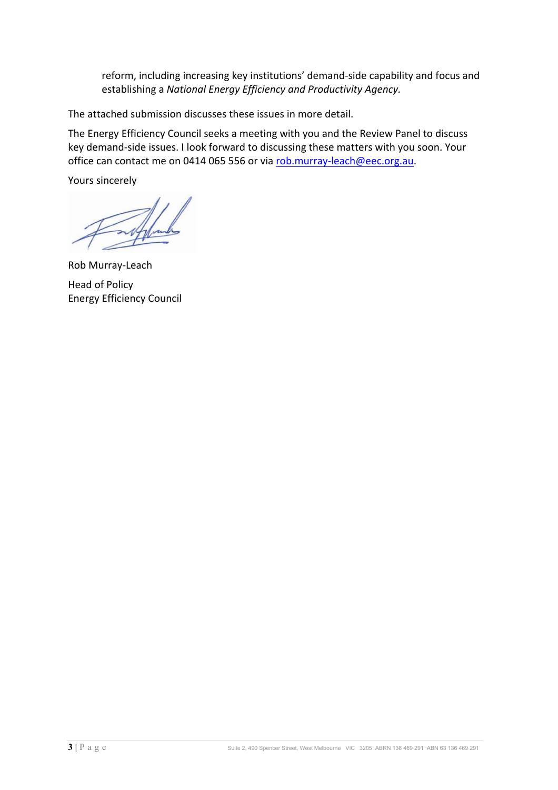reform, including increasing key institutions' demand-side capability and focus and establishing a *National Energy Efficiency and Productivity Agency.* 

The attached submission discusses these issues in more detail.

The Energy Efficiency Council seeks a meeting with you and the Review Panel to discuss key demand-side issues. I look forward to discussing these matters with you soon. Your office can contact me on 0414 065 556 or via rob.murray-leach@eec.org.au.

Yours sincerely

Rob Murray-Leach Head of Policy Energy Efficiency Council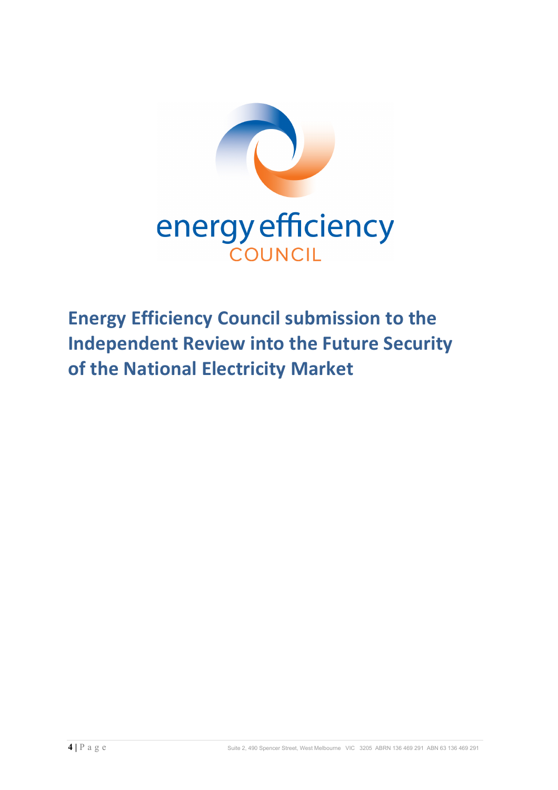

**Energy Efficiency Council submission to the Independent Review into the Future Security of the National Electricity Market**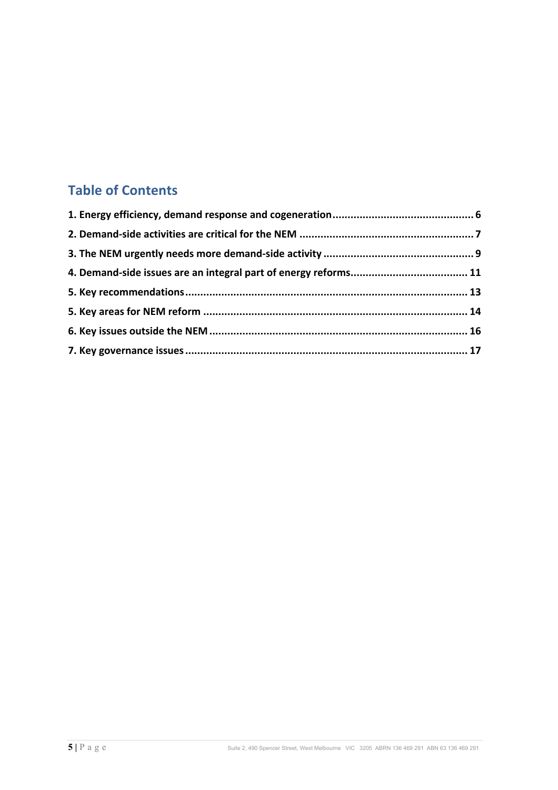# **Table of Contents**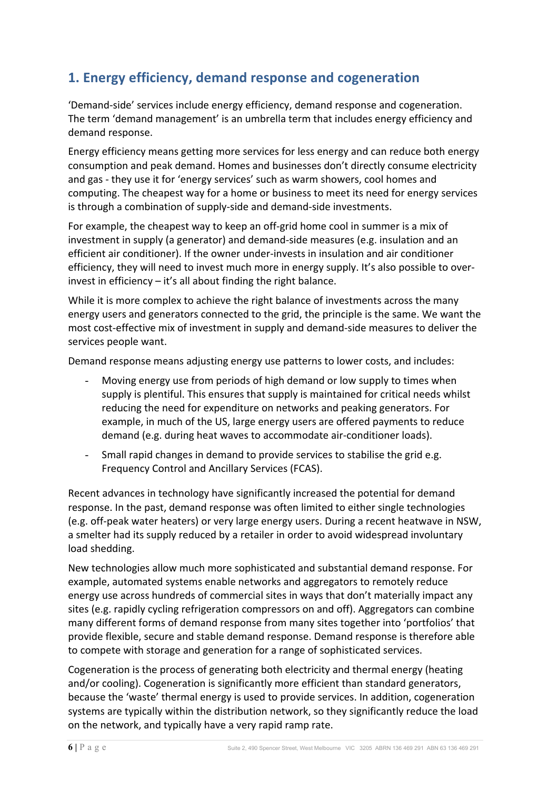# **1. Energy efficiency, demand response and cogeneration**

'Demand-side' services include energy efficiency, demand response and cogeneration. The term 'demand management' is an umbrella term that includes energy efficiency and demand response.

Energy efficiency means getting more services for less energy and can reduce both energy consumption and peak demand. Homes and businesses don't directly consume electricity and gas - they use it for 'energy services' such as warm showers, cool homes and computing. The cheapest way for a home or business to meet its need for energy services is through a combination of supply-side and demand-side investments.

For example, the cheapest way to keep an off-grid home cool in summer is a mix of investment in supply (a generator) and demand-side measures (e.g. insulation and an efficient air conditioner). If the owner under-invests in insulation and air conditioner efficiency, they will need to invest much more in energy supply. It's also possible to overinvest in efficiency  $-$  it's all about finding the right balance.

While it is more complex to achieve the right balance of investments across the many energy users and generators connected to the grid, the principle is the same. We want the most cost-effective mix of investment in supply and demand-side measures to deliver the services people want.

Demand response means adjusting energy use patterns to lower costs, and includes:

- Moving energy use from periods of high demand or low supply to times when supply is plentiful. This ensures that supply is maintained for critical needs whilst reducing the need for expenditure on networks and peaking generators. For example, in much of the US, large energy users are offered payments to reduce demand (e.g. during heat waves to accommodate air-conditioner loads).
- Small rapid changes in demand to provide services to stabilise the grid e.g. Frequency Control and Ancillary Services (FCAS).

Recent advances in technology have significantly increased the potential for demand response. In the past, demand response was often limited to either single technologies (e.g. off-peak water heaters) or very large energy users. During a recent heatwave in NSW, a smelter had its supply reduced by a retailer in order to avoid widespread involuntary load shedding.

New technologies allow much more sophisticated and substantial demand response. For example, automated systems enable networks and aggregators to remotely reduce energy use across hundreds of commercial sites in ways that don't materially impact any sites (e.g. rapidly cycling refrigeration compressors on and off). Aggregators can combine many different forms of demand response from many sites together into 'portfolios' that provide flexible, secure and stable demand response. Demand response is therefore able to compete with storage and generation for a range of sophisticated services.

Cogeneration is the process of generating both electricity and thermal energy (heating and/or cooling). Cogeneration is significantly more efficient than standard generators, because the 'waste' thermal energy is used to provide services. In addition, cogeneration systems are typically within the distribution network, so they significantly reduce the load on the network, and typically have a very rapid ramp rate.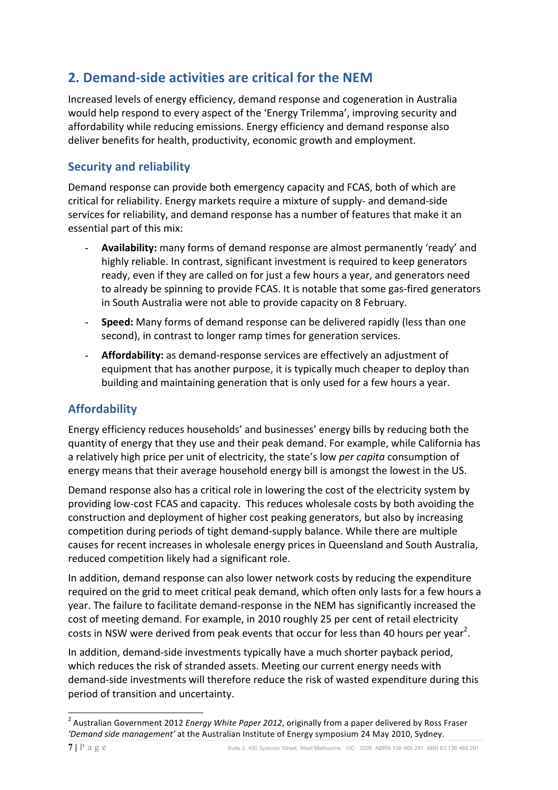# **2. Demand-side activities are critical for the NEM**

Increased levels of energy efficiency, demand response and cogeneration in Australia would help respond to every aspect of the 'Energy Trilemma', improving security and affordability while reducing emissions. Energy efficiency and demand response also deliver benefits for health, productivity, economic growth and employment.

### **Security and reliability**

Demand response can provide both emergency capacity and FCAS, both of which are critical for reliability. Energy markets require a mixture of supply- and demand-side services for reliability, and demand response has a number of features that make it an essential part of this mix:

- Availability: many forms of demand response are almost permanently 'ready' and highly reliable. In contrast, significant investment is required to keep generators ready, even if they are called on for just a few hours a year, and generators need to already be spinning to provide FCAS. It is notable that some gas-fired generators in South Australia were not able to provide capacity on 8 February.
- **Speed:** Many forms of demand response can be delivered rapidly (less than one second), in contrast to longer ramp times for generation services.
- Affordability: as demand-response services are effectively an adjustment of equipment that has another purpose, it is typically much cheaper to deploy than building and maintaining generation that is only used for a few hours a year.

## **Affordability**

Energy efficiency reduces households' and businesses' energy bills by reducing both the quantity of energy that they use and their peak demand. For example, while California has a relatively high price per unit of electricity, the state's low *per capita* consumption of energy means that their average household energy bill is amongst the lowest in the US.

Demand response also has a critical role in lowering the cost of the electricity system by providing low-cost FCAS and capacity. This reduces wholesale costs by both avoiding the construction and deployment of higher cost peaking generators, but also by increasing competition during periods of tight demand-supply balance. While there are multiple causes for recent increases in wholesale energy prices in Queensland and South Australia, reduced competition likely had a significant role.

In addition, demand response can also lower network costs by reducing the expenditure required on the grid to meet critical peak demand, which often only lasts for a few hours a year. The failure to facilitate demand-response in the NEM has significantly increased the cost of meeting demand. For example, in 2010 roughly 25 per cent of retail electricity costs in NSW were derived from peak events that occur for less than 40 hours per year<sup>2</sup>.

In addition, demand-side investments typically have a much shorter payback period, which reduces the risk of stranded assets. Meeting our current energy needs with demand-side investments will therefore reduce the risk of wasted expenditure during this period of transition and uncertainty.

<sup>&</sup>lt;sup>2</sup> Australian Government 2012 *Energy White Paper 2012*, originally from a paper delivered by Ross Fraser 'Demand side management' at the Australian Institute of Energy symposium 24 May 2010, Sydney.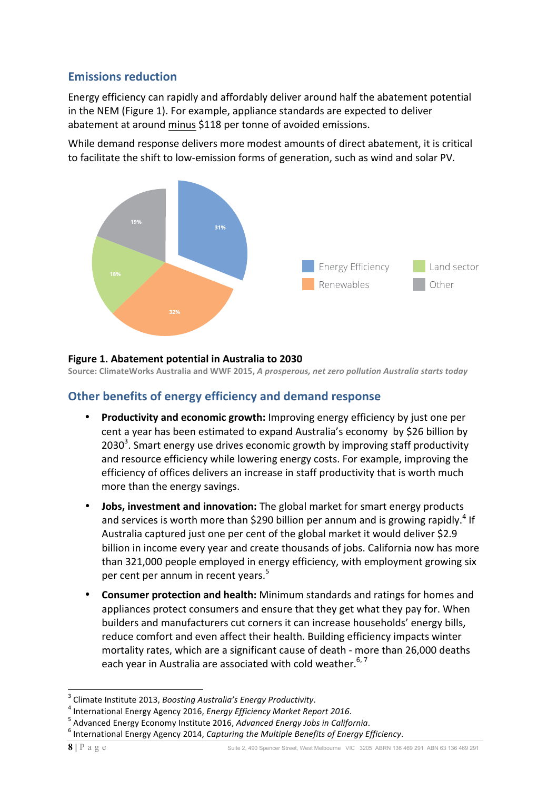### **Emissions reduction**

Energy efficiency can rapidly and affordably deliver around half the abatement potential in the NEM (Figure 1). For example, appliance standards are expected to deliver abatement at around minus \$118 per tonne of avoided emissions. **5. Greenhouse gas reduction policies**

While demand response delivers more modest amounts of direct abatement, it is critical to facilitate the shift to low-emission forms of generation, such as wind and solar PV. icilitate the shift to  $\nu$ coPPitPents to reduce its ePissions Pean tKat



#### **Figure 1. Abatement potential in Australia to 2030**  $\mathbf{A}$  $\mathcal{L}_{\mathbf{z}}$

**Source: ClimateWorks Australia and WWF 2015,** *A prosperous, net zero pollution Australia starts today***<br>Source: ClimateWorks Australia and WWF 2015,** *A prosperous, net zero pollution Australia starts today* us, net zero pollution Australia starts to  $\alpha$  Pissions between  $\alpha$  Panage Pent is also critical to critical to  $\alpha$ rosperous, net zero pollution Australia starts today

#### **Other benefits of energy efficiency and demand response** nand response sussex and departure **Figure 1. Abatement potential in Australia to 2030** *Source: ClimateWorks Australia & WWF 2015 A prosperous, net-zero pollution Australia starts today.* can

- Productivity and economic growth: Improving energy efficiency by just one per cent a year has been estimated to expand Australia's economy by \$26 billion by 2030<sup>3</sup>. Smart energy use drives economic growth by improving staff productivity and resource efficiency while lowering energy costs. For example, improving the efficiency of offices delivers an increase in staff productivity that is worth much more than the energy savings. cent a year has been estimated to expand Australia's economy by \$26 billion by more than t c growth by improving staff produc in staff productivity that is worth much  $\mathcal{P}(\mathcal{P}(\mathcal{P}))$  is the coincide  $\mathcal{P}(\mathcal{P}(\mathcal{P}))$  depend to coincide  $\mathcal{P}(\mathcal{P})$ From Serious Christian Services suck as such as solar suck as such as solar such as solar such as solar such a<br>The solar such as solar such as solar such as solar such as solar such as solar such as solar such as solar su
- **Jobs, investment and innovation:** The global market for smart energy products and services is worth more than \$290 billion per annum and is growing rapidly.<sup>4</sup> If and services is worth more than 5250 billion per all mathematics growing rapidly<br>Australia captured just one per cent of the global market it would deliver \$2.9 billion in income every year and create thousands of jobs. California now has more than 321,000 people employed in energy efficiency, with employment growing six per cent per annum in recent years.<sup>5</sup> Jobs, investment and innovation Australia captured just one per per cent per unitam in recent 7Kis is Sarticularly critical noZ as Australia is lobal market for smart energy products
- Consumer protection and health: Minimum standards and ratings for homes and appliances protect consumers and ensure that they get what they pay for. When builders and manufacturers cut corners it can increase households' energy bills, reduce comfort and even affect their health. Building efficiency impacts winter mortality rates, which are a significant cause of death - more than 26,000 deaths each year in Australia are associated with cold weather.<sup>6, 7</sup>

<sup>&</sup>lt;sup>3</sup> Climate Institute 2013, *Boosting Australia's Energy Productivity*.<br>
<sup>4</sup> International Energy Agency 2016, *Energy Efficiency Market Report 2016*.<br>
<sup>5</sup> Advanced Energy Economy Institute 2016, *Advanced Energy Jobs in*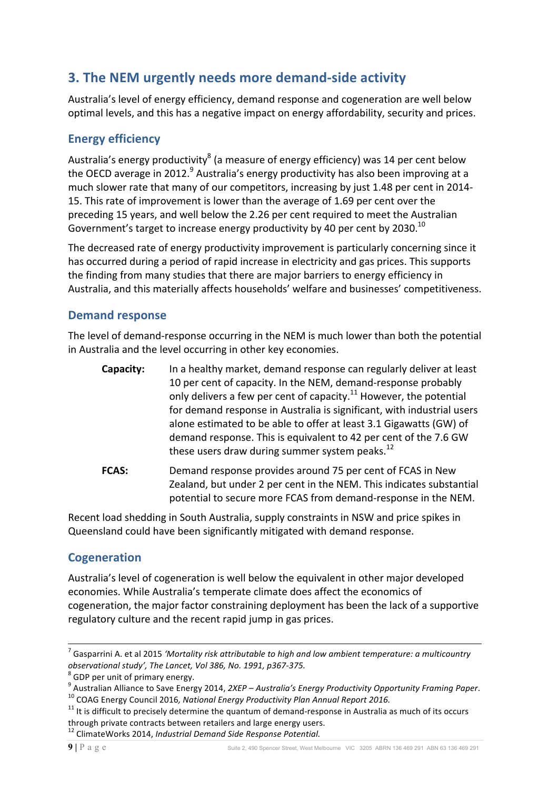# **3. The NEM urgently needs more demand-side activity**

Australia's level of energy efficiency, demand response and cogeneration are well below optimal levels, and this has a negative impact on energy affordability, security and prices.

## **Energy efficiency**

Australia's energy productivity<sup>8</sup> (a measure of energy efficiency) was 14 per cent below the OECD average in 2012.  $9$  Australia's energy productivity has also been improving at a much slower rate that many of our competitors, increasing by just 1.48 per cent in 2014-15. This rate of improvement is lower than the average of 1.69 per cent over the preceding 15 years, and well below the 2.26 per cent required to meet the Australian Government's target to increase energy productivity by 40 per cent by 2030.<sup>10</sup>

The decreased rate of energy productivity improvement is particularly concerning since it has occurred during a period of rapid increase in electricity and gas prices. This supports the finding from many studies that there are major barriers to energy efficiency in Australia, and this materially affects households' welfare and businesses' competitiveness.

### **Demand response**

The level of demand-response occurring in the NEM is much lower than both the potential in Australia and the level occurring in other key economies.

| Capacity:    | In a healthy market, demand response can regularly deliver at least<br>10 per cent of capacity. In the NEM, demand-response probably<br>only delivers a few per cent of capacity. <sup>11</sup> However, the potential                                                         |
|--------------|--------------------------------------------------------------------------------------------------------------------------------------------------------------------------------------------------------------------------------------------------------------------------------|
|              | for demand response in Australia is significant, with industrial users<br>alone estimated to be able to offer at least 3.1 Gigawatts (GW) of<br>demand response. This is equivalent to 42 per cent of the 7.6 GW<br>these users draw during summer system peaks. <sup>12</sup> |
| <b>FCAS:</b> | Demand response provides around 75 per cent of FCAS in New<br>Zealand, but under 2 per cent in the NEM. This indicates substantial<br>potential to secure more FCAS from demand-response in the NEM.                                                                           |

Recent load shedding in South Australia, supply constraints in NSW and price spikes in Queensland could have been significantly mitigated with demand response.

## **Cogeneration**

Australia's level of cogeneration is well below the equivalent in other major developed economies. While Australia's temperate climate does affect the economics of cogeneration, the major factor constraining deployment has been the lack of a supportive regulatory culture and the recent rapid jump in gas prices.

 $^7$  Gasparrini A. et al 2015 *'Mortality risk attributable to high and low ambient temperature: a multicountry observational study', The Lancet, Vol 386, No. 1991, p367-375.* 

<sup>&</sup>lt;sup>8</sup> GDP per unit of primary energy.<br><sup>9</sup> Australian Alliance to Save Energy 2014, 2XEP – Australia's Energy Productivity Opportunity Framing Paper.<br><sup>10</sup> COAG Energy Council 2016, National Energy Productivity Plan Annual Re

through private contracts between retailers and large energy users.<br><sup>12</sup> ClimateWorks 2014, *Industrial Demand Side Response Potential*.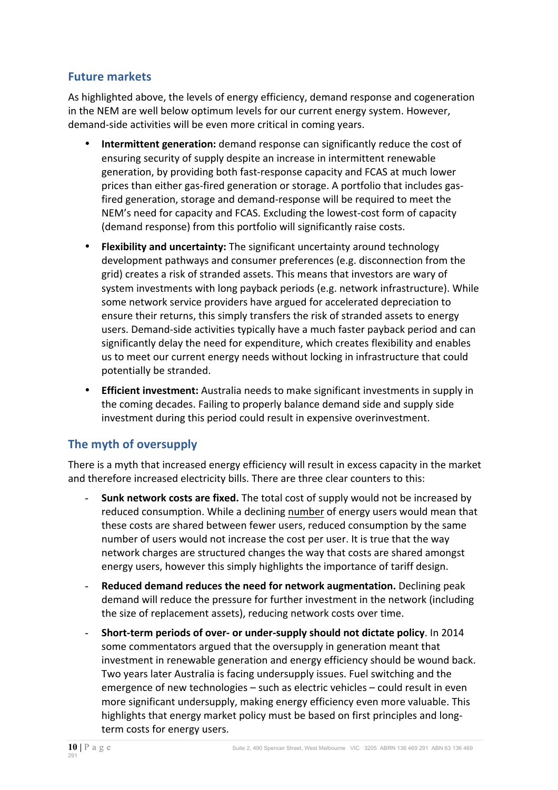### **Future markets**

As highlighted above, the levels of energy efficiency, demand response and cogeneration in the NEM are well below optimum levels for our current energy system. However, demand-side activities will be even more critical in coming years.

- **Intermittent generation:** demand response can significantly reduce the cost of ensuring security of supply despite an increase in intermittent renewable generation, by providing both fast-response capacity and FCAS at much lower prices than either gas-fired generation or storage. A portfolio that includes gasfired generation, storage and demand-response will be required to meet the NEM's need for capacity and FCAS. Excluding the lowest-cost form of capacity (demand response) from this portfolio will significantly raise costs.
- **Flexibility and uncertainty:** The significant uncertainty around technology development pathways and consumer preferences (e.g. disconnection from the grid) creates a risk of stranded assets. This means that investors are wary of system investments with long payback periods (e.g. network infrastructure). While some network service providers have argued for accelerated depreciation to ensure their returns, this simply transfers the risk of stranded assets to energy users. Demand-side activities typically have a much faster payback period and can significantly delay the need for expenditure, which creates flexibility and enables us to meet our current energy needs without locking in infrastructure that could potentially be stranded.
- **Efficient investment:** Australia needs to make significant investments in supply in the coming decades. Failing to properly balance demand side and supply side investment during this period could result in expensive overinvestment.

## **The myth of oversupply**

There is a myth that increased energy efficiency will result in excess capacity in the market and therefore increased electricity bills. There are three clear counters to this:

- **Sunk network costs are fixed.** The total cost of supply would not be increased by reduced consumption. While a declining number of energy users would mean that these costs are shared between fewer users, reduced consumption by the same number of users would not increase the cost per user. It is true that the way network charges are structured changes the way that costs are shared amongst energy users, however this simply highlights the importance of tariff design.
- **Reduced demand reduces the need for network augmentation.** Declining peak demand will reduce the pressure for further investment in the network (including the size of replacement assets), reducing network costs over time.
- Short-term periods of over- or under-supply should not dictate policy. In 2014 some commentators argued that the oversupply in generation meant that investment in renewable generation and energy efficiency should be wound back. Two years later Australia is facing undersupply issues. Fuel switching and the emergence of new technologies  $-$  such as electric vehicles  $-$  could result in even more significant undersupply, making energy efficiency even more valuable. This highlights that energy market policy must be based on first principles and longterm costs for energy users.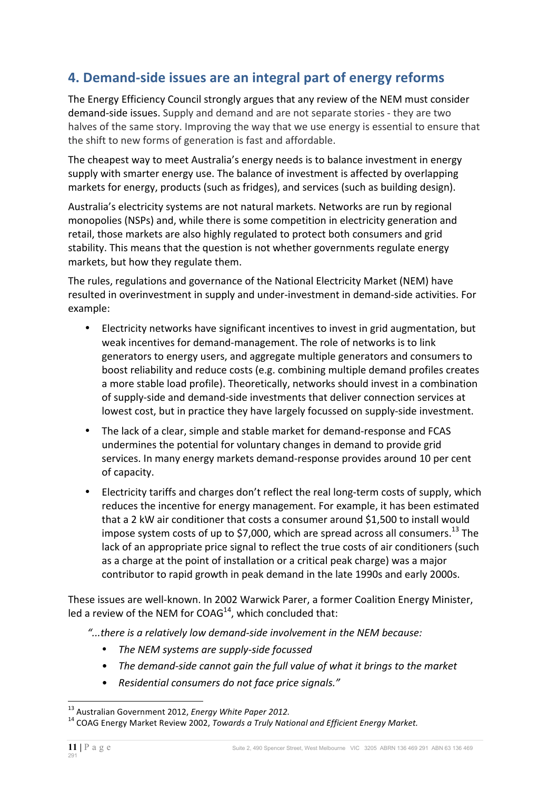# **4. Demand-side issues are an integral part of energy reforms**

The Energy Efficiency Council strongly argues that any review of the NEM must consider demand-side issues. Supply and demand and are not separate stories - they are two halves of the same story. Improving the way that we use energy is essential to ensure that the shift to new forms of generation is fast and affordable.

The cheapest way to meet Australia's energy needs is to balance investment in energy supply with smarter energy use. The balance of investment is affected by overlapping markets for energy, products (such as fridges), and services (such as building design).

Australia's electricity systems are not natural markets. Networks are run by regional monopolies (NSPs) and, while there is some competition in electricity generation and retail, those markets are also highly regulated to protect both consumers and grid stability. This means that the question is not whether governments regulate energy markets, but how they regulate them.

The rules, regulations and governance of the National Electricity Market (NEM) have resulted in overinvestment in supply and under-investment in demand-side activities. For example:

- Electricity networks have significant incentives to invest in grid augmentation, but weak incentives for demand-management. The role of networks is to link generators to energy users, and aggregate multiple generators and consumers to boost reliability and reduce costs (e.g. combining multiple demand profiles creates a more stable load profile). Theoretically, networks should invest in a combination of supply-side and demand-side investments that deliver connection services at lowest cost, but in practice they have largely focussed on supply-side investment.
- The lack of a clear, simple and stable market for demand-response and FCAS undermines the potential for voluntary changes in demand to provide grid services. In many energy markets demand-response provides around 10 per cent of capacity.
- Electricity tariffs and charges don't reflect the real long-term costs of supply, which reduces the incentive for energy management. For example, it has been estimated that a 2 kW air conditioner that costs a consumer around \$1,500 to install would impose system costs of up to \$7,000, which are spread across all consumers.<sup>13</sup> The lack of an appropriate price signal to reflect the true costs of air conditioners (such as a charge at the point of installation or a critical peak charge) was a major contributor to rapid growth in peak demand in the late 1990s and early 2000s.

These issues are well-known. In 2002 Warwick Parer, a former Coalition Energy Minister, led a review of the NEM for  $COAG^{14}$ , which concluded that:

"...there is a relatively low demand-side involvement in the NEM because:

- The NEM systems are supply-side focussed
- The demand-side cannot gain the full value of what it brings to the market
- *Residential consumers do not face price signals."*

<sup>&</sup>lt;sup>13</sup> Australian Government 2012, *Energy White Paper 2012.* 14 COAG Energy Market.<br><sup>14</sup> COAG Energy Market Review 2002, *Towards a Truly National and Efficient Energy Market.*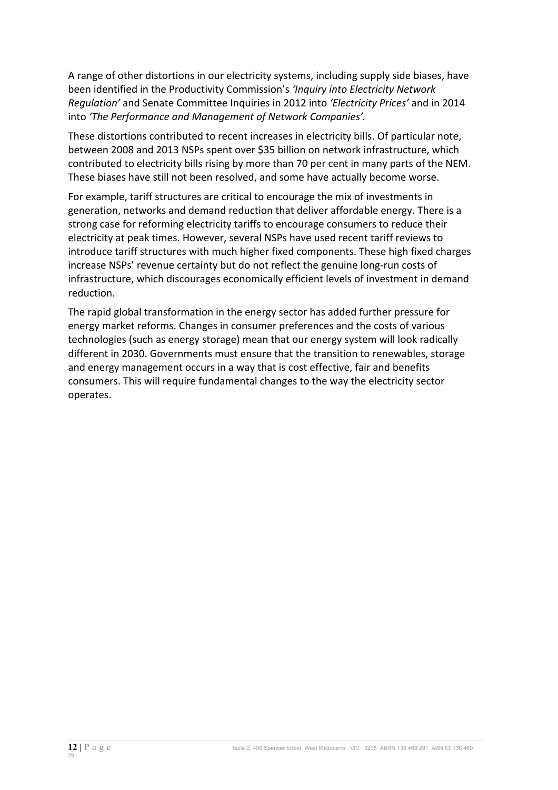A range of other distortions in our electricity systems, including supply side biases, have been identified in the Productivity Commission's 'Inquiry into Electricity Network *Requlation'* and Senate Committee Inquiries in 2012 into 'Electricity Prices' and in 2014 into 'The Performance and Management of Network Companies'.

These distortions contributed to recent increases in electricity bills. Of particular note, between 2008 and 2013 NSPs spent over \$35 billion on network infrastructure, which contributed to electricity bills rising by more than 70 per cent in many parts of the NEM. These biases have still not been resolved, and some have actually become worse.

For example, tariff structures are critical to encourage the mix of investments in generation, networks and demand reduction that deliver affordable energy. There is a strong case for reforming electricity tariffs to encourage consumers to reduce their electricity at peak times. However, several NSPs have used recent tariff reviews to introduce tariff structures with much higher fixed components. These high fixed charges increase NSPs' revenue certainty but do not reflect the genuine long-run costs of infrastructure, which discourages economically efficient levels of investment in demand reduction. 

The rapid global transformation in the energy sector has added further pressure for energy market reforms. Changes in consumer preferences and the costs of various technologies (such as energy storage) mean that our energy system will look radically different in 2030. Governments must ensure that the transition to renewables, storage and energy management occurs in a way that is cost effective, fair and benefits consumers. This will require fundamental changes to the way the electricity sector operates.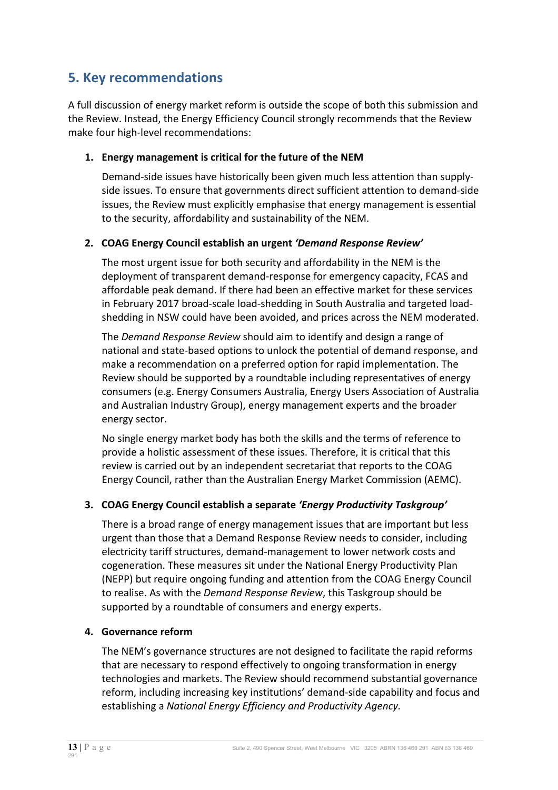# **5. Key recommendations**

A full discussion of energy market reform is outside the scope of both this submission and the Review. Instead, the Energy Efficiency Council strongly recommends that the Review make four high-level recommendations:

### 1. **Energy management is critical for the future of the NEM**

Demand-side issues have historically been given much less attention than supplyside issues. To ensure that governments direct sufficient attention to demand-side issues, the Review must explicitly emphasise that energy management is essential to the security, affordability and sustainability of the NEM.

### **2. COAG Energy Council establish an urgent** *'Demand Response Review'*

The most urgent issue for both security and affordability in the NEM is the deployment of transparent demand-response for emergency capacity, FCAS and affordable peak demand. If there had been an effective market for these services in February 2017 broad-scale load-shedding in South Australia and targeted loadshedding in NSW could have been avoided, and prices across the NEM moderated.

The *Demand Response Review* should aim to identify and design a range of national and state-based options to unlock the potential of demand response, and make a recommendation on a preferred option for rapid implementation. The Review should be supported by a roundtable including representatives of energy consumers (e.g. Energy Consumers Australia, Energy Users Association of Australia and Australian Industry Group), energy management experts and the broader energy sector.

No single energy market body has both the skills and the terms of reference to provide a holistic assessment of these issues. Therefore, it is critical that this review is carried out by an independent secretariat that reports to the COAG Energy Council, rather than the Australian Energy Market Commission (AEMC).

### **3. COAG Energy Council establish a separate 'Energy Productivity Taskgroup'**

There is a broad range of energy management issues that are important but less urgent than those that a Demand Response Review needs to consider, including electricity tariff structures, demand-management to lower network costs and cogeneration. These measures sit under the National Energy Productivity Plan (NEPP) but require ongoing funding and attention from the COAG Energy Council to realise. As with the *Demand Response Review*, this Taskgroup should be supported by a roundtable of consumers and energy experts.

#### **4. Governance reform**

The NEM's governance structures are not designed to facilitate the rapid reforms that are necessary to respond effectively to ongoing transformation in energy technologies and markets. The Review should recommend substantial governance reform, including increasing key institutions' demand-side capability and focus and establishing a *National Energy Efficiency and Productivity Agency.*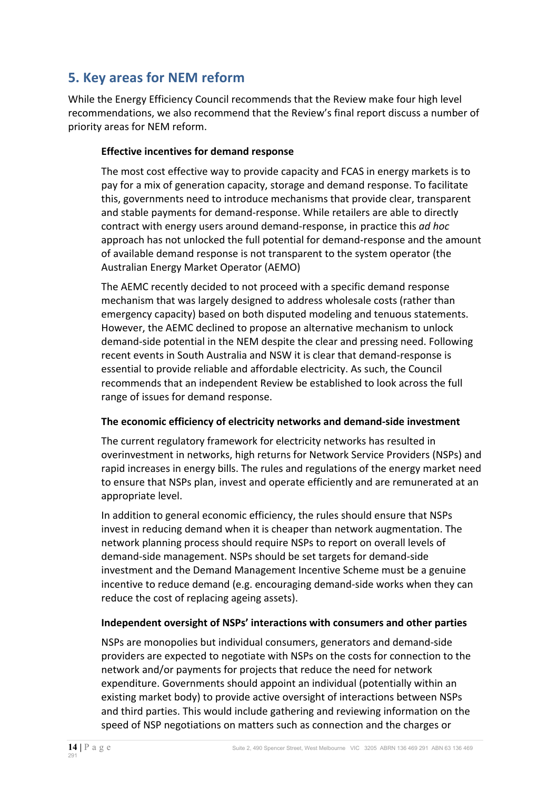# **5. Key areas for NEM reform**

While the Energy Efficiency Council recommends that the Review make four high level recommendations, we also recommend that the Review's final report discuss a number of priority areas for NEM reform.

### **Effective incentives for demand response**

The most cost effective way to provide capacity and FCAS in energy markets is to pay for a mix of generation capacity, storage and demand response. To facilitate this, governments need to introduce mechanisms that provide clear, transparent and stable payments for demand-response. While retailers are able to directly contract with energy users around demand-response, in practice this *ad hoc* approach has not unlocked the full potential for demand-response and the amount of available demand response is not transparent to the system operator (the Australian Energy Market Operator (AEMO)

The AEMC recently decided to not proceed with a specific demand response mechanism that was largely designed to address wholesale costs (rather than emergency capacity) based on both disputed modeling and tenuous statements. However, the AEMC declined to propose an alternative mechanism to unlock demand-side potential in the NEM despite the clear and pressing need. Following recent events in South Australia and NSW it is clear that demand-response is essential to provide reliable and affordable electricity. As such, the Council recommends that an independent Review be established to look across the full range of issues for demand response.

### **The economic efficiency of electricity networks and demand-side investment**

The current regulatory framework for electricity networks has resulted in overinvestment in networks, high returns for Network Service Providers (NSPs) and rapid increases in energy bills. The rules and regulations of the energy market need to ensure that NSPs plan, invest and operate efficiently and are remunerated at an appropriate level.

In addition to general economic efficiency, the rules should ensure that NSPs invest in reducing demand when it is cheaper than network augmentation. The network planning process should require NSPs to report on overall levels of demand-side management. NSPs should be set targets for demand-side investment and the Demand Management Incentive Scheme must be a genuine incentive to reduce demand (e.g. encouraging demand-side works when they can reduce the cost of replacing ageing assets).

### Independent oversight of NSPs' interactions with consumers and other parties

NSPs are monopolies but individual consumers, generators and demand-side providers are expected to negotiate with NSPs on the costs for connection to the network and/or payments for projects that reduce the need for network expenditure. Governments should appoint an individual (potentially within an existing market body) to provide active oversight of interactions between NSPs and third parties. This would include gathering and reviewing information on the speed of NSP negotiations on matters such as connection and the charges or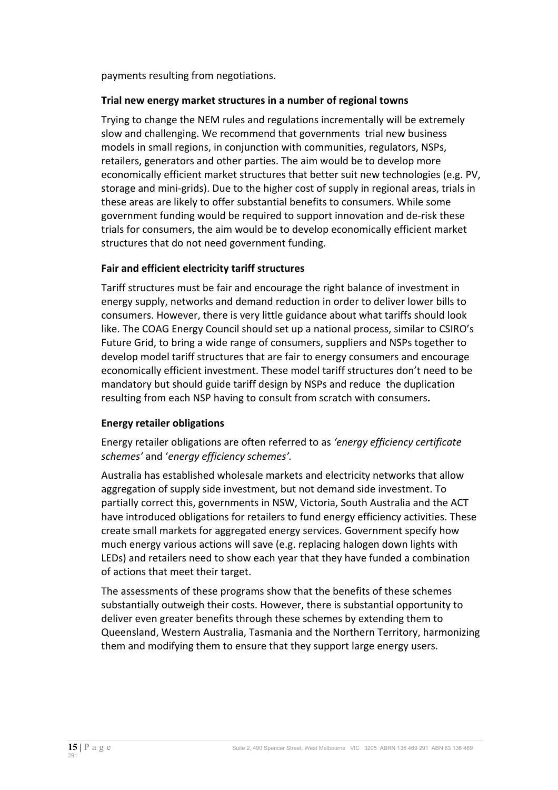payments resulting from negotiations.

#### **Trial new energy market structures in a number of regional towns**

Trying to change the NEM rules and regulations incrementally will be extremely slow and challenging. We recommend that governments trial new business models in small regions, in conjunction with communities, regulators, NSPs, retailers, generators and other parties. The aim would be to develop more economically efficient market structures that better suit new technologies (e.g. PV, storage and mini-grids). Due to the higher cost of supply in regional areas, trials in these areas are likely to offer substantial benefits to consumers. While some government funding would be required to support innovation and de-risk these trials for consumers, the aim would be to develop economically efficient market structures that do not need government funding.

### **Fair and efficient electricity tariff structures**

Tariff structures must be fair and encourage the right balance of investment in energy supply, networks and demand reduction in order to deliver lower bills to consumers. However, there is very little guidance about what tariffs should look like. The COAG Energy Council should set up a national process, similar to CSIRO's Future Grid, to bring a wide range of consumers, suppliers and NSPs together to develop model tariff structures that are fair to energy consumers and encourage economically efficient investment. These model tariff structures don't need to be mandatory but should guide tariff design by NSPs and reduce the duplication resulting from each NSP having to consult from scratch with consumers.

### **Energy retailer obligations**

Energy retailer obligations are often referred to as *'energy efficiency certificate* schemes' and 'energy efficiency schemes'.

Australia has established wholesale markets and electricity networks that allow aggregation of supply side investment, but not demand side investment. To partially correct this, governments in NSW, Victoria, South Australia and the ACT have introduced obligations for retailers to fund energy efficiency activities. These create small markets for aggregated energy services. Government specify how much energy various actions will save (e.g. replacing halogen down lights with LEDs) and retailers need to show each year that they have funded a combination of actions that meet their target.

The assessments of these programs show that the benefits of these schemes substantially outweigh their costs. However, there is substantial opportunity to deliver even greater benefits through these schemes by extending them to Queensland, Western Australia, Tasmania and the Northern Territory, harmonizing them and modifying them to ensure that they support large energy users.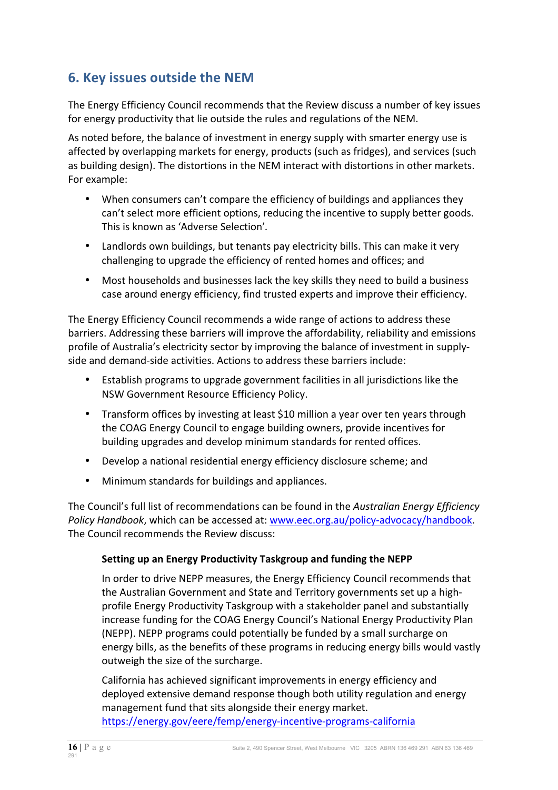# **6. Key issues outside the NEM**

The Energy Efficiency Council recommends that the Review discuss a number of key issues for energy productivity that lie outside the rules and regulations of the NEM.

As noted before, the balance of investment in energy supply with smarter energy use is affected by overlapping markets for energy, products (such as fridges), and services (such as building design). The distortions in the NEM interact with distortions in other markets. For example:

- When consumers can't compare the efficiency of buildings and appliances they can't select more efficient options, reducing the incentive to supply better goods. This is known as 'Adverse Selection'.
- Landlords own buildings, but tenants pay electricity bills. This can make it very challenging to upgrade the efficiency of rented homes and offices; and
- Most households and businesses lack the key skills they need to build a business case around energy efficiency, find trusted experts and improve their efficiency.

The Energy Efficiency Council recommends a wide range of actions to address these barriers. Addressing these barriers will improve the affordability, reliability and emissions profile of Australia's electricity sector by improving the balance of investment in supplyside and demand-side activities. Actions to address these barriers include:

- Establish programs to upgrade government facilities in all jurisdictions like the NSW Government Resource Efficiency Policy.
- Transform offices by investing at least \$10 million a year over ten years through the COAG Energy Council to engage building owners, provide incentives for building upgrades and develop minimum standards for rented offices.
- Develop a national residential energy efficiency disclosure scheme; and
- Minimum standards for buildings and appliances.

The Council's full list of recommendations can be found in the *Australian Energy Efficiency* Policy Handbook, which can be accessed at: www.eec.org.au/policy-advocacy/handbook. The Council recommends the Review discuss:

### **Setting up an Energy Productivity Taskgroup and funding the NEPP**

In order to drive NEPP measures, the Energy Efficiency Council recommends that the Australian Government and State and Territory governments set up a highprofile Energy Productivity Taskgroup with a stakeholder panel and substantially increase funding for the COAG Energy Council's National Energy Productivity Plan (NEPP). NEPP programs could potentially be funded by a small surcharge on energy bills, as the benefits of these programs in reducing energy bills would vastly outweigh the size of the surcharge.

California has achieved significant improvements in energy efficiency and deployed extensive demand response though both utility regulation and energy management fund that sits alongside their energy market. https://energy.gov/eere/femp/energy-incentive-programs-california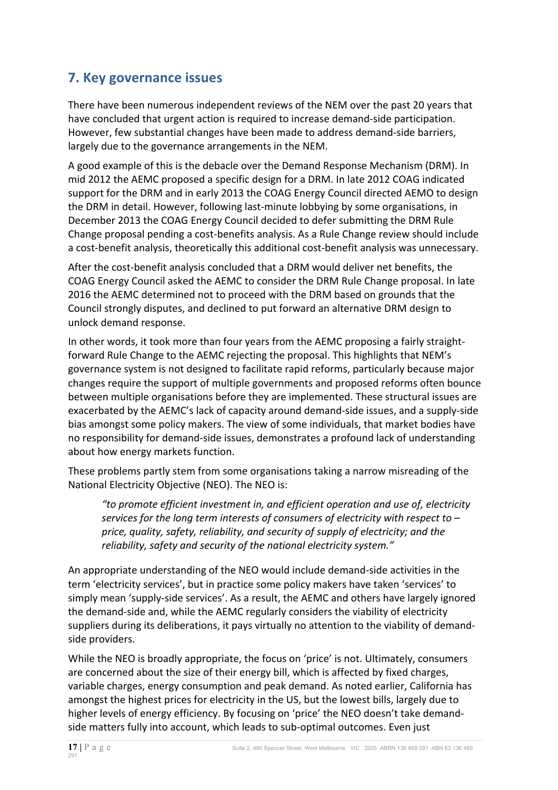# **7. Key governance issues**

There have been numerous independent reviews of the NEM over the past 20 years that have concluded that urgent action is required to increase demand-side participation. However, few substantial changes have been made to address demand-side barriers, largely due to the governance arrangements in the NEM.

A good example of this is the debacle over the Demand Response Mechanism (DRM). In mid 2012 the AEMC proposed a specific design for a DRM. In late 2012 COAG indicated support for the DRM and in early 2013 the COAG Energy Council directed AEMO to design the DRM in detail. However, following last-minute lobbying by some organisations, in December 2013 the COAG Energy Council decided to defer submitting the DRM Rule Change proposal pending a cost-benefits analysis. As a Rule Change review should include a cost-benefit analysis, theoretically this additional cost-benefit analysis was unnecessary.

After the cost-benefit analysis concluded that a DRM would deliver net benefits, the COAG Energy Council asked the AEMC to consider the DRM Rule Change proposal. In late 2016 the AEMC determined not to proceed with the DRM based on grounds that the Council strongly disputes, and declined to put forward an alternative DRM design to unlock demand response.

In other words, it took more than four years from the AEMC proposing a fairly straightforward Rule Change to the AEMC rejecting the proposal. This highlights that NEM's governance system is not designed to facilitate rapid reforms, particularly because major changes require the support of multiple governments and proposed reforms often bounce between multiple organisations before they are implemented. These structural issues are exacerbated by the AEMC's lack of capacity around demand-side issues, and a supply-side bias amongst some policy makers. The view of some individuals, that market bodies have no responsibility for demand-side issues, demonstrates a profound lack of understanding about how energy markets function.

These problems partly stem from some organisations taking a narrow misreading of the National Electricity Objective (NEO). The NEO is:

"to promote efficient investment in, and efficient operation and use of, electricity services for the long term interests of consumers of electricity with respect to price, quality, safety, reliability, and security of supply of electricity; and the reliability, safety and security of the national electricity system."

An appropriate understanding of the NEO would include demand-side activities in the term 'electricity services', but in practice some policy makers have taken 'services' to simply mean 'supply-side services'. As a result, the AEMC and others have largely ignored the demand-side and, while the AEMC regularly considers the viability of electricity suppliers during its deliberations, it pays virtually no attention to the viability of demandside providers.

While the NEO is broadly appropriate, the focus on 'price' is not. Ultimately, consumers are concerned about the size of their energy bill, which is affected by fixed charges, variable charges, energy consumption and peak demand. As noted earlier, California has amongst the highest prices for electricity in the US, but the lowest bills, largely due to higher levels of energy efficiency. By focusing on 'price' the NEO doesn't take demandside matters fully into account, which leads to sub-optimal outcomes. Even just